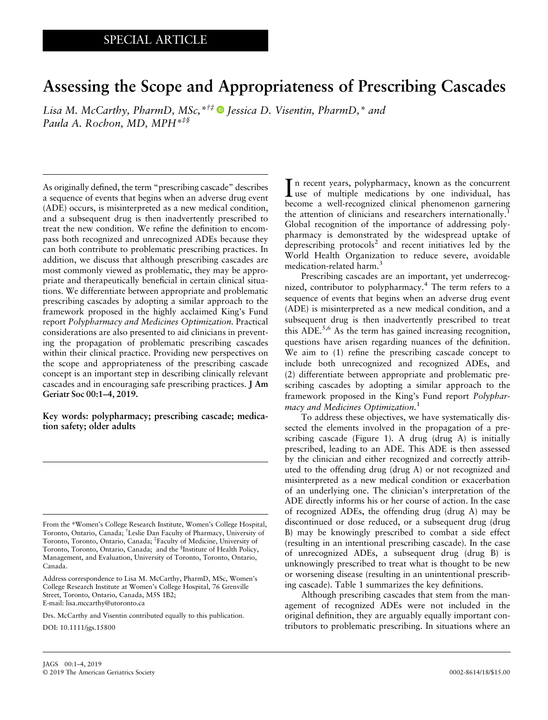# Assessing the Scope and Appropriateness of Prescribing Cascades

Lisa M. McCarthy, PharmD, MSc,  $**$ <sup>#</sup>  $\bullet$  Jessica D. Visentin, PharmD,\* and Paula A. Rochon, MD, MPH\*‡§

As originally defined, the term "prescribing cascade" describes a sequence of events that begins when an adverse drug event (ADE) occurs, is misinterpreted as a new medical condition, and a subsequent drug is then inadvertently prescribed to treat the new condition. We refine the definition to encompass both recognized and unrecognized ADEs because they can both contribute to problematic prescribing practices. In addition, we discuss that although prescribing cascades are most commonly viewed as problematic, they may be appropriate and therapeutically beneficial in certain clinical situations. We differentiate between appropriate and problematic prescribing cascades by adopting a similar approach to the framework proposed in the highly acclaimed King's Fund report Polypharmacy and Medicines Optimization. Practical considerations are also presented to aid clinicians in preventing the propagation of problematic prescribing cascades within their clinical practice. Providing new perspectives on the scope and appropriateness of the prescribing cascade concept is an important step in describing clinically relevant cascades and in encouraging safe prescribing practices. J Am Geriatr Soc 00:1–4, 2019.

Key words: polypharmacy; prescribing cascade; medication safety; older adults

From the \*Women's College Research Institute, Women's College Hospital, Toronto, Ontario, Canada; † Leslie Dan Faculty of Pharmacy, University of Toronto, Toronto, Ontario, Canada; ‡ Faculty of Medicine, University of Toronto, Toronto, Ontario, Canada; and the <sup>§</sup>Institute of Health Policy, Management, and Evaluation, University of Toronto, Toronto, Ontario, Canada.

Address correspondence to Lisa M. McCarthy, PharmD, MSc, Women's College Research Institute at Women's College Hospital, 76 Grenville Street, Toronto, Ontario, Canada, M5S 1B2; E-mail: [lisa.mccarthy@utoronto.ca](mailto:lisa.mccarthy@utoronto.ca)

Drs. McCarthy and Visentin contributed equally to this publication.

DOI: 10.1111/jgs.15800

In recent years, polypharmacy, known as the concurrent<br>use of multiple medications by one individual, has use of multiple medications by one individual, has become a well-recognized clinical phenomenon garnering the attention of clinicians and researchers internationally. Global recognition of the importance of addressing polypharmacy is demonstrated by the widespread uptake of deprescribing protocols<sup>2</sup> and recent initiatives led by the World Health Organization to reduce severe, avoidable medication-related harm.<sup>3</sup>

Prescribing cascades are an important, yet underrecognized, contributor to polypharmacy.<sup>4</sup> The term refers to a sequence of events that begins when an adverse drug event (ADE) is misinterpreted as a new medical condition, and a subsequent drug is then inadvertently prescribed to treat this ADE.<sup>5,6</sup> As the term has gained increasing recognition, questions have arisen regarding nuances of the definition. We aim to (1) refine the prescribing cascade concept to include both unrecognized and recognized ADEs, and (2) differentiate between appropriate and problematic prescribing cascades by adopting a similar approach to the framework proposed in the King's Fund report Polypharmacy and Medicines Optimization.<sup>1</sup>

To address these objectives, we have systematically dissected the elements involved in the propagation of a prescribing cascade (Figure 1). A drug (drug A) is initially prescribed, leading to an ADE. This ADE is then assessed by the clinician and either recognized and correctly attributed to the offending drug (drug A) or not recognized and misinterpreted as a new medical condition or exacerbation of an underlying one. The clinician's interpretation of the ADE directly informs his or her course of action. In the case of recognized ADEs, the offending drug (drug A) may be discontinued or dose reduced, or a subsequent drug (drug B) may be knowingly prescribed to combat a side effect (resulting in an intentional prescribing cascade). In the case of unrecognized ADEs, a subsequent drug (drug B) is unknowingly prescribed to treat what is thought to be new or worsening disease (resulting in an unintentional prescribing cascade). Table 1 summarizes the key definitions.

Although prescribing cascades that stem from the management of recognized ADEs were not included in the original definition, they are arguably equally important contributors to problematic prescribing. In situations where an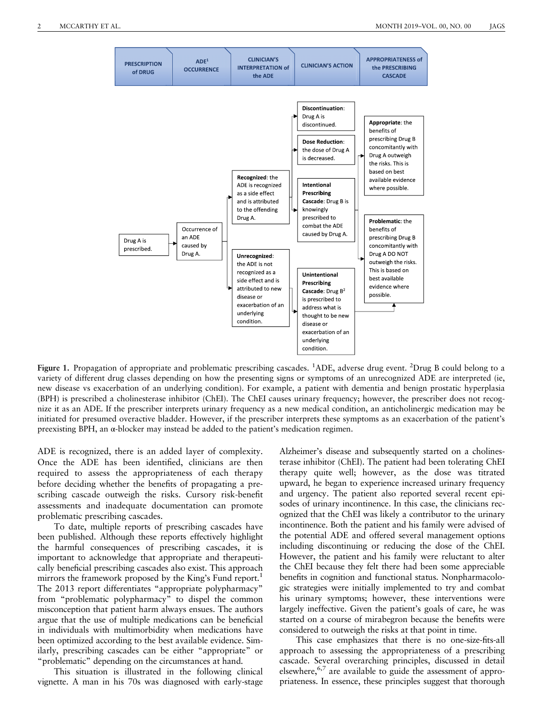

Figure 1. Propagation of appropriate and problematic prescribing cascades. <sup>1</sup>ADE, adverse drug event. <sup>2</sup>Drug B could belong to a variety of different drug classes depending on how the presenting signs or symptoms of an unrecognized ADE are interpreted (ie, new disease vs exacerbation of an underlying condition). For example, a patient with dementia and benign prostatic hyperplasia (BPH) is prescribed a cholinesterase inhibitor (ChEI). The ChEI causes urinary frequency; however, the prescriber does not recognize it as an ADE. If the prescriber interprets urinary frequency as a new medical condition, an anticholinergic medication may be initiated for presumed overactive bladder. However, if the prescriber interprets these symptoms as an exacerbation of the patient's preexisting BPH, an α-blocker may instead be added to the patient's medication regimen.

ADE is recognized, there is an added layer of complexity. Once the ADE has been identified, clinicians are then required to assess the appropriateness of each therapy before deciding whether the benefits of propagating a prescribing cascade outweigh the risks. Cursory risk-benefit assessments and inadequate documentation can promote problematic prescribing cascades.

To date, multiple reports of prescribing cascades have been published. Although these reports effectively highlight the harmful consequences of prescribing cascades, it is important to acknowledge that appropriate and therapeutically beneficial prescribing cascades also exist. This approach mirrors the framework proposed by the King's Fund report.<sup>1</sup> The 2013 report differentiates "appropriate polypharmacy" from "problematic polypharmacy" to dispel the common misconception that patient harm always ensues. The authors argue that the use of multiple medications can be beneficial in individuals with multimorbidity when medications have been optimized according to the best available evidence. Similarly, prescribing cascades can be either "appropriate" or "problematic" depending on the circumstances at hand.

This situation is illustrated in the following clinical vignette. A man in his 70s was diagnosed with early-stage

Alzheimer's disease and subsequently started on a cholinesterase inhibitor (ChEI). The patient had been tolerating ChEI therapy quite well; however, as the dose was titrated upward, he began to experience increased urinary frequency and urgency. The patient also reported several recent episodes of urinary incontinence. In this case, the clinicians recognized that the ChEI was likely a contributor to the urinary incontinence. Both the patient and his family were advised of the potential ADE and offered several management options including discontinuing or reducing the dose of the ChEI. However, the patient and his family were reluctant to alter the ChEI because they felt there had been some appreciable benefits in cognition and functional status. Nonpharmacologic strategies were initially implemented to try and combat his urinary symptoms; however, these interventions were largely ineffective. Given the patient's goals of care, he was started on a course of mirabegron because the benefits were considered to outweigh the risks at that point in time.

This case emphasizes that there is no one-size-fits-all approach to assessing the appropriateness of a prescribing cascade. Several overarching principles, discussed in detail elsewhere, $6,7$  are available to guide the assessment of appropriateness. In essence, these principles suggest that thorough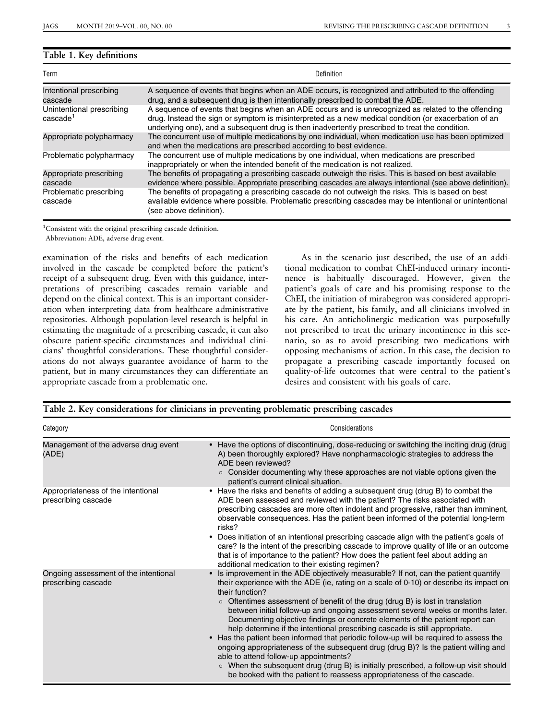## Table 1. Key definitions

| Term                                              | Definition                                                                                                                                                                                                                                                                                                      |
|---------------------------------------------------|-----------------------------------------------------------------------------------------------------------------------------------------------------------------------------------------------------------------------------------------------------------------------------------------------------------------|
| Intentional prescribing<br>cascade                | A sequence of events that begins when an ADE occurs, is recognized and attributed to the offending<br>drug, and a subsequent drug is then intentionally prescribed to combat the ADE.                                                                                                                           |
| Unintentional prescribing<br>cascade <sup>1</sup> | A sequence of events that begins when an ADE occurs and is unrecognized as related to the offending<br>drug. Instead the sign or symptom is misinterpreted as a new medical condition (or exacerbation of an<br>underlying one), and a subsequent drug is then inadvertently prescribed to treat the condition. |
| Appropriate polypharmacy                          | The concurrent use of multiple medications by one individual, when medication use has been optimized<br>and when the medications are prescribed according to best evidence.                                                                                                                                     |
| Problematic polypharmacy                          | The concurrent use of multiple medications by one individual, when medications are prescribed<br>inappropriately or when the intended benefit of the medication is not realized.                                                                                                                                |
| Appropriate prescribing<br>cascade                | The benefits of propagating a prescribing cascade outweigh the risks. This is based on best available<br>evidence where possible. Appropriate prescribing cascades are always intentional (see above definition).                                                                                               |
| Problematic prescribing<br>cascade                | The benefits of propagating a prescribing cascade do not outweigh the risks. This is based on best<br>available evidence where possible. Problematic prescribing cascades may be intentional or unintentional<br>(see above definition).                                                                        |

<sup>1</sup>Consistent with the original prescribing cascade definition.

Abbreviation: ADE, adverse drug event.

examination of the risks and benefits of each medication involved in the cascade be completed before the patient's receipt of a subsequent drug. Even with this guidance, interpretations of prescribing cascades remain variable and depend on the clinical context. This is an important consideration when interpreting data from healthcare administrative repositories. Although population-level research is helpful in estimating the magnitude of a prescribing cascade, it can also obscure patient-specific circumstances and individual clinicians' thoughtful considerations. These thoughtful considerations do not always guarantee avoidance of harm to the patient, but in many circumstances they can differentiate an appropriate cascade from a problematic one.

As in the scenario just described, the use of an additional medication to combat ChEI-induced urinary incontinence is habitually discouraged. However, given the patient's goals of care and his promising response to the ChEI, the initiation of mirabegron was considered appropriate by the patient, his family, and all clinicians involved in his care. An anticholinergic medication was purposefully not prescribed to treat the urinary incontinence in this scenario, so as to avoid prescribing two medications with opposing mechanisms of action. In this case, the decision to propagate a prescribing cascade importantly focused on quality-of-life outcomes that were central to the patient's desires and consistent with his goals of care.

| Category                                                     | Considerations                                                                                                                                                                                                                                                                                                                                                                                                                                                                                                                                                                                                                                                                                                                                                                                                                                                                                                                                    |
|--------------------------------------------------------------|---------------------------------------------------------------------------------------------------------------------------------------------------------------------------------------------------------------------------------------------------------------------------------------------------------------------------------------------------------------------------------------------------------------------------------------------------------------------------------------------------------------------------------------------------------------------------------------------------------------------------------------------------------------------------------------------------------------------------------------------------------------------------------------------------------------------------------------------------------------------------------------------------------------------------------------------------|
| Management of the adverse drug event<br>(ADE)                | • Have the options of discontinuing, dose-reducing or switching the inciting drug (drug<br>A) been thoroughly explored? Have nonpharmacologic strategies to address the<br>ADE been reviewed?<br>Consider documenting why these approaches are not viable options given the<br>$\circ$<br>patient's current clinical situation.                                                                                                                                                                                                                                                                                                                                                                                                                                                                                                                                                                                                                   |
| Appropriateness of the intentional<br>prescribing cascade    | • Have the risks and benefits of adding a subsequent drug (drug B) to combat the<br>ADE been assessed and reviewed with the patient? The risks associated with<br>prescribing cascades are more often indolent and progressive, rather than imminent,<br>observable consequences. Has the patient been informed of the potential long-term<br>risks?<br>• Does initiation of an intentional prescribing cascade align with the patient's goals of<br>care? Is the intent of the prescribing cascade to improve quality of life or an outcome<br>that is of importance to the patient? How does the patient feel about adding an<br>additional medication to their existing regimen?                                                                                                                                                                                                                                                               |
| Ongoing assessment of the intentional<br>prescribing cascade | • Is improvement in the ADE objectively measurable? If not, can the patient quantify<br>their experience with the ADE (ie, rating on a scale of 0-10) or describe its impact on<br>their function?<br>$\circ$ Oftentimes assessment of benefit of the drug (drug B) is lost in translation<br>between initial follow-up and ongoing assessment several weeks or months later.<br>Documenting objective findings or concrete elements of the patient report can<br>help determine if the intentional prescribing cascade is still appropriate.<br>• Has the patient been informed that periodic follow-up will be required to assess the<br>ongoing appropriateness of the subsequent drug (drug B)? Is the patient willing and<br>able to attend follow-up appointments?<br>$\circ$ When the subsequent drug (drug B) is initially prescribed, a follow-up visit should<br>be booked with the patient to reassess appropriateness of the cascade. |

#### Table 2. Key considerations for clinicians in preventing problematic prescribing cascades